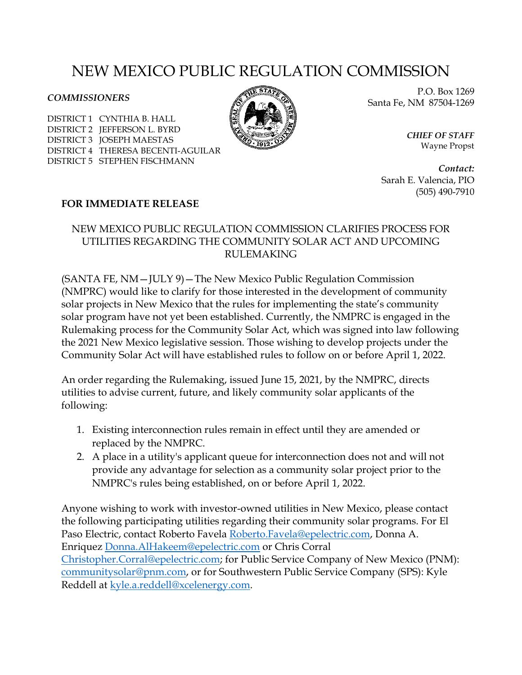## NEW MEXICO PUBLIC REGULATION COMMISSION

## *COMMISSIONERS*

DISTRICT 1 CYNTHIA B. HALL DISTRICT 2 JEFFERSON L. BYRD DISTRICT 3 JOSEPH MAESTAS DISTRICT 4 THERESA BECENTI-AGUILAR DISTRICT 5 STEPHEN FISCHMANN



P.O. Box 1269 Santa Fe, NM 87504-1269

> *CHIEF OF STAFF* Wayne Propst

*Contact:* Sarah E. Valencia, PIO (505) 490-7910

## **FOR IMMEDIATE RELEASE**

## NEW MEXICO PUBLIC REGULATION COMMISSION CLARIFIES PROCESS FOR UTILITIES REGARDING THE COMMUNITY SOLAR ACT AND UPCOMING RULEMAKING

(SANTA FE, NM—JULY 9)—The New Mexico Public Regulation Commission (NMPRC) would like to clarify for those interested in the development of community solar projects in New Mexico that the rules for implementing the state's community solar program have not yet been established. Currently, the NMPRC is engaged in the Rulemaking process for the Community Solar Act, which was signed into law following the 2021 New Mexico legislative session. Those wishing to develop projects under the Community Solar Act will have established rules to follow on or before April 1, 2022.

An order regarding the Rulemaking, issued June 15, 2021, by the NMPRC, directs utilities to advise current, future, and likely community solar applicants of the following:

- 1. Existing interconnection rules remain in effect until they are amended or replaced by the NMPRC.
- 2. A place in a utility's applicant queue for interconnection does not and will not provide any advantage for selection as a community solar project prior to the NMPRC's rules being established, on or before April 1, 2022.

Anyone wishing to work with investor-owned utilities in New Mexico, please contact the following participating utilities regarding their community solar programs. For El Paso Electric, contact Roberto Favela [Roberto.Favela@epelectric.com,](mailto:Roberto.Favela@epelectric.com) Donna A. Enriquez [Donna.AlHakeem@epelectric.com](mailto:Donna.AlHakeem@epelectric.com) or Chris Corral [Christopher.Corral@epelectric.com;](mailto:Christopher.Corral@epelectric.com) for Public Service Company of New Mexico (PNM): [communitysolar@pnm.com,](mailto:communitysolar@pnm.com) or for Southwestern Public Service Company (SPS): Kyle Reddell at [kyle.a.reddell@xcelenergy.com.](mailto:kyle.a.reddell@xcelenergy.com)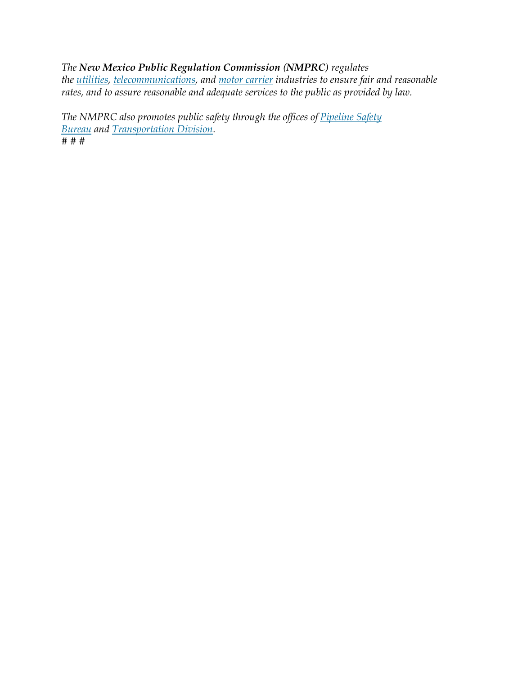*The New Mexico Public Regulation Commission (NMPRC) regulates the [utilities,](http://nmprc.state.nm.us/utilities/index.html) [telecommunications,](http://nmprc.state.nm.us/utilities/telecommunications.html) and [motor carrier](http://nmprc.state.nm.us/transportation/index.html) industries to ensure fair and reasonable rates, and to assure reasonable and adequate services to the public as provided by law.*

*The NMPRC also promotes public safety through the offices of [Pipeline Safety](http://nmprc.state.nm.us/transportation/pipeline-safety.html)  [Bureau](http://nmprc.state.nm.us/transportation/pipeline-safety.html) and [Transportation Division.](http://nmprc.state.nm.us/transportation/index.html) # # #*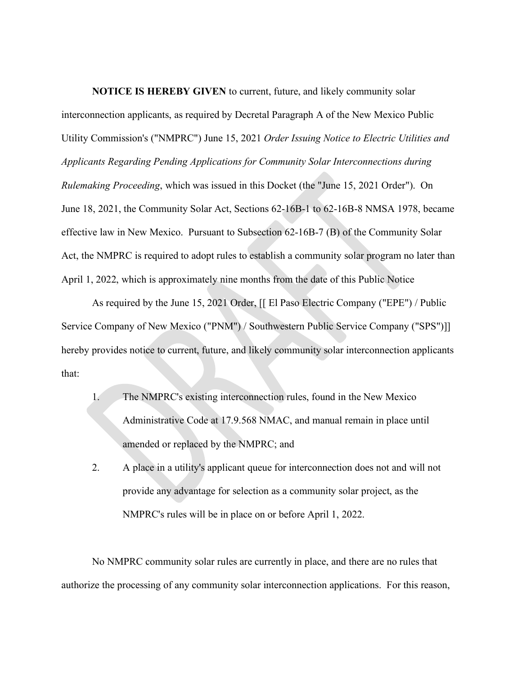**NOTICE IS HEREBY GIVEN** to current, future, and likely community solar interconnection applicants, as required by Decretal Paragraph A of the New Mexico Public Utility Commission's ("NMPRC") June 15, 2021 *Order Issuing Notice to Electric Utilities and Applicants Regarding Pending Applications for Community Solar Interconnections during Rulemaking Proceeding*, which was issued in this Docket (the "June 15, 2021 Order"). On June 18, 2021, the Community Solar Act, Sections 62-16B-1 to 62-16B-8 NMSA 1978, became effective law in New Mexico. Pursuant to Subsection 62-16B-7 (B) of the Community Solar Act, the NMPRC is required to adopt rules to establish a community solar program no later than April 1, 2022, which is approximately nine months from the date of this Public Notice

As required by the June 15, 2021 Order, [[ El Paso Electric Company ("EPE") / Public Service Company of New Mexico ("PNM") / Southwestern Public Service Company ("SPS")]] hereby provides notice to current, future, and likely community solar interconnection applicants that:

- 1. The NMPRC's existing interconnection rules, found in the New Mexico Administrative Code at 17.9.568 NMAC, and manual remain in place until amended or replaced by the NMPRC; and
- 2. A place in a utility's applicant queue for interconnection does not and will not provide any advantage for selection as a community solar project, as the NMPRC's rules will be in place on or before April 1, 2022.

No NMPRC community solar rules are currently in place, and there are no rules that authorize the processing of any community solar interconnection applications. For this reason,